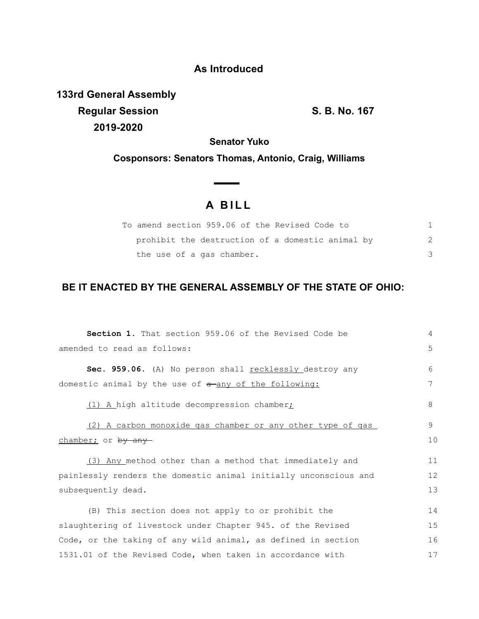## **As Introduced**

**133rd General Assembly Regular Session S. B. No. 167 2019-2020**

**Senator Yuko**

**Cosponsors: Senators Thomas, Antonio, Craig, Williams**

## **A B I L L**

**Contract Contract Contract** 

| To amend section 959.06 of the Revised Code to   |  |
|--------------------------------------------------|--|
| prohibit the destruction of a domestic animal by |  |
| the use of a gas chamber.                        |  |

## **BE IT ENACTED BY THE GENERAL ASSEMBLY OF THE STATE OF OHIO:**

| <b>Section 1.</b> That section 959.06 of the Revised Code be     | 4  |  |  |  |  |  |
|------------------------------------------------------------------|----|--|--|--|--|--|
| amended to read as follows:                                      | 5  |  |  |  |  |  |
| Sec. 959.06. (A) No person shall recklessly destroy any          | 6  |  |  |  |  |  |
| domestic animal by the use of a any of the following:            | 7  |  |  |  |  |  |
| (1) A high altitude decompression chamber;                       | 8  |  |  |  |  |  |
| (2) A carbon monoxide gas chamber or any other type of gas       | 9  |  |  |  |  |  |
| chamber; or by any                                               | 10 |  |  |  |  |  |
| (3) Any method other than a method that immediately and          | 11 |  |  |  |  |  |
| painlessly renders the domestic animal initially unconscious and | 12 |  |  |  |  |  |
| subsequently dead.                                               |    |  |  |  |  |  |
| (B) This section does not apply to or prohibit the               | 14 |  |  |  |  |  |
| slaughtering of livestock under Chapter 945. of the Revised      |    |  |  |  |  |  |
| Code, or the taking of any wild animal, as defined in section    | 16 |  |  |  |  |  |
| 1531.01 of the Revised Code, when taken in accordance with       |    |  |  |  |  |  |